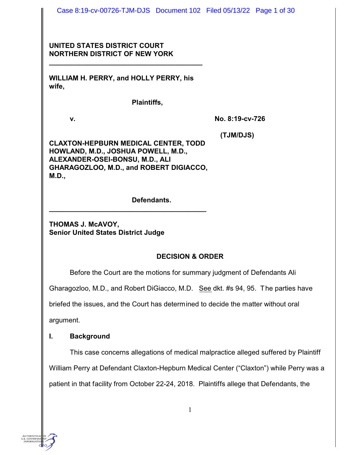Case 8:19-cv-00726-TJM-DJS Document 102 Filed 05/13/22 Page 1 of 30

## **UNITED STATES DISTRICT COURT NORTHERN DISTRICT OF NEW YORK**

**WILLIAM H. PERRY, and HOLLY PERRY, his wife,**

**\_\_\_\_\_\_\_\_\_\_\_\_\_\_\_\_\_\_\_\_\_\_\_\_\_\_\_\_\_\_\_\_\_\_\_\_\_\_\_\_**

**Plaintiffs,**

**v. No. 8:19-cv-726** 

 **(TJM/DJS)**

**CLAXTON-HEPBURN MEDICAL CENTER, TODD HOWLAND, M.D., JOSHUA POWELL, M.D., ALEXANDER-OSEI-BONSU, M.D., ALI GHARAGOZLOO, M.D., and ROBERT DIGIACCO, M.D.,** 

**\_\_\_\_\_\_\_\_\_\_\_\_\_\_\_\_\_\_\_\_\_\_\_\_\_\_\_\_\_\_\_\_\_\_\_\_\_\_\_\_\_**

**Defendants.**

**THOMAS J. McAVOY, Senior United States District Judge**

# **DECISION & ORDER**

Before the Court are the motions for summary judgment of Defendants Ali

Gharagozloo, M.D., and Robert DiGiacco, M.D. See dkt. #s 94, 95. The parties have

briefed the issues, and the Court has determined to decide the matter without oral

argument.

# **I. Background**

This case concerns allegations of medical malpractice alleged suffered by Plaintiff William Perry at Defendant Claxton-Hepburn Medical Center ("Claxton") while Perry was a patient in that facility from October 22-24, 2018. Plaintiffs allege that Defendants, the

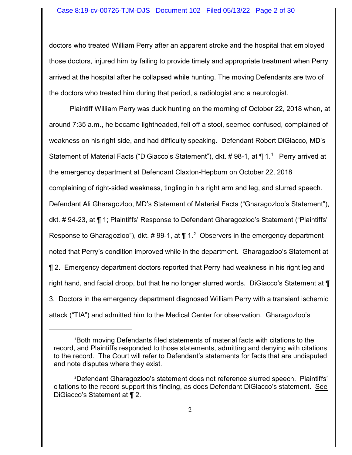doctors who treated William Perry after an apparent stroke and the hospital that employed those doctors, injured him by failing to provide timely and appropriate treatment when Perry arrived at the hospital after he collapsed while hunting. The moving Defendants are two of the doctors who treated him during that period, a radiologist and a neurologist.

Plaintiff William Perry was duck hunting on the morning of October 22, 2018 when, at around 7:35 a.m., he became lightheaded, fell off a stool, seemed confused, complained of weakness on his right side, and had difficulty speaking. Defendant Robert DiGiacco, MD's Statement of Material Facts ("DiGiacco's Statement"), dkt. # 98-1, at ¶ 1.<sup>1</sup> Perry arrived at the emergency department at Defendant Claxton-Hepburn on October 22, 2018 complaining of right-sided weakness, tingling in his right arm and leg, and slurred speech. Defendant Ali Gharagozloo, MD's Statement of Material Facts ("Gharagozloo's Statement"), dkt. # 94-23, at ¶ 1; Plaintiffs' Response to Defendant Gharagozloo's Statement ("Plaintiffs' Response to Gharagozloo"), dkt. # 99-1, at  $\P$  1.<sup>2</sup> Observers in the emergency department noted that Perry's condition improved while in the department. Gharagozloo's Statement at ¶ 2. Emergency department doctors reported that Perry had weakness in his right leg and right hand, and facial droop, but that he no longer slurred words. DiGiacco's Statement at ¶ 3. Doctors in the emergency department diagnosed William Perry with a transient ischemic attack ("TIA") and admitted him to the Medical Center for observation. Gharagozloo's

<sup>1</sup>Both moving Defendants filed statements of material facts with citations to the record, and Plaintiffs responded to those statements, admitting and denying with citations to the record. The Court will refer to Defendant's statements for facts that are undisputed and note disputes where they exist.

<sup>2</sup>Defendant Gharagozloo's statement does not reference slurred speech. Plaintiffs' citations to the record support this finding, as does Defendant DiGiacco's statement. See DiGiacco's Statement at ¶ 2.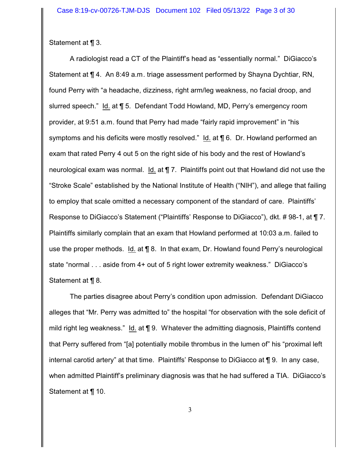Statement at ¶ 3.

A radiologist read a CT of the Plaintiff's head as "essentially normal." DiGiacco's Statement at ¶ 4. An 8:49 a.m. triage assessment performed by Shayna Dychtiar, RN, found Perry with "a headache, dizziness, right arm/leg weakness, no facial droop, and slurred speech." Id. at ¶ 5. Defendant Todd Howland, MD, Perry's emergency room provider, at 9:51 a.m. found that Perry had made "fairly rapid improvement" in "his symptoms and his deficits were mostly resolved." Id. at ¶ 6. Dr. Howland performed an exam that rated Perry 4 out 5 on the right side of his body and the rest of Howland's neurological exam was normal. Id. at ¶ 7. Plaintiffs point out that Howland did not use the "Stroke Scale" established by the National Institute of Health ("NIH"), and allege that failing to employ that scale omitted a necessary component of the standard of care. Plaintiffs' Response to DiGiacco's Statement ("Plaintiffs' Response to DiGiacco"), dkt. # 98-1, at ¶ 7. Plaintiffs similarly complain that an exam that Howland performed at 10:03 a.m. failed to use the proper methods. Id. at ¶ 8. In that exam, Dr. Howland found Perry's neurological state "normal . . . aside from 4+ out of 5 right lower extremity weakness." DiGiacco's Statement at ¶ 8.

The parties disagree about Perry's condition upon admission. Defendant DiGiacco alleges that "Mr. Perry was admitted to" the hospital "for observation with the sole deficit of mild right leg weakness." Id. at ¶ 9. Whatever the admitting diagnosis, Plaintiffs contend that Perry suffered from "[a] potentially mobile thrombus in the lumen of" his "proximal left internal carotid artery" at that time. Plaintiffs' Response to DiGiacco at ¶ 9. In any case, when admitted Plaintiff's preliminary diagnosis was that he had suffered a TIA. DiGiacco's Statement at ¶ 10.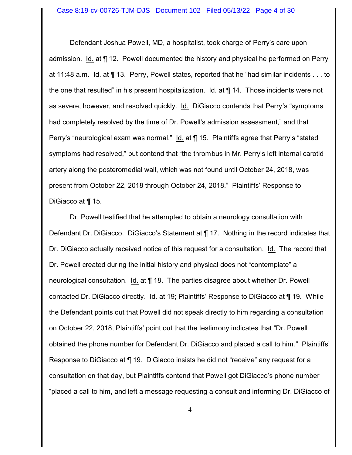Defendant Joshua Powell, MD, a hospitalist, took charge of Perry's care upon admission. Id. at ¶ 12. Powell documented the history and physical he performed on Perry at 11:48 a.m. Id. at ¶ 13. Perry, Powell states, reported that he "had similar incidents . . . to the one that resulted" in his present hospitalization. Id. at ¶ 14. Those incidents were not as severe, however, and resolved quickly. Id. DiGiacco contends that Perry's "symptoms had completely resolved by the time of Dr. Powell's admission assessment," and that Perry's "neurological exam was normal." Id. at ¶ 15. Plaintiffs agree that Perry's "stated symptoms had resolved," but contend that "the thrombus in Mr. Perry's left internal carotid artery along the posteromedial wall, which was not found until October 24, 2018, was present from October 22, 2018 through October 24, 2018." Plaintiffs' Response to DiGiacco at ¶ 15.

Dr. Powell testified that he attempted to obtain a neurology consultation with Defendant Dr. DiGiacco. DiGiacco's Statement at ¶ 17. Nothing in the record indicates that Dr. DiGiacco actually received notice of this request for a consultation. Id. The record that Dr. Powell created during the initial history and physical does not "contemplate" a neurological consultation. Id. at ¶ 18. The parties disagree about whether Dr. Powell contacted Dr. DiGiacco directly. Id. at 19; Plaintiffs' Response to DiGiacco at ¶ 19. While the Defendant points out that Powell did not speak directly to him regarding a consultation on October 22, 2018, Plaintiffs' point out that the testimony indicates that "Dr. Powell obtained the phone number for Defendant Dr. DiGiacco and placed a call to him." Plaintiffs' Response to DiGiacco at ¶ 19. DiGiacco insists he did not "receive" any request for a consultation on that day, but Plaintiffs contend that Powell got DiGiacco's phone number "placed a call to him, and left a message requesting a consult and informing Dr. DiGiacco of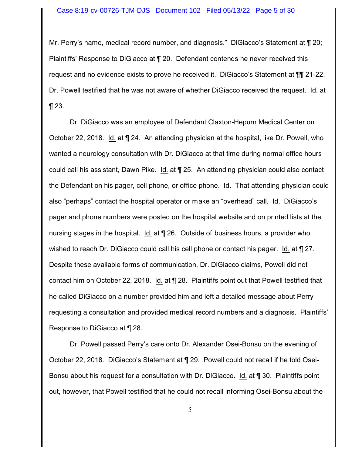Mr. Perry's name, medical record number, and diagnosis." DiGiacco's Statement at ¶ 20; Plaintiffs' Response to DiGiacco at ¶ 20. Defendant contends he never received this request and no evidence exists to prove he received it. DiGiacco's Statement at ¶¶ 21-22. Dr. Powell testified that he was not aware of whether DiGiacco received the request. Id. at  $\P$  23.

Dr. DiGiacco was an employee of Defendant Claxton-Hepurn Medical Center on October 22, 2018. Id. at ¶ 24. An attending physician at the hospital, like Dr. Powell, who wanted a neurology consultation with Dr. DiGiacco at that time during normal office hours could call his assistant, Dawn Pike. Id. at ¶ 25. An attending physician could also contact the Defendant on his pager, cell phone, or office phone. Id. That attending physician could also "perhaps" contact the hospital operator or make an "overhead" call. Id. DiGiacco's pager and phone numbers were posted on the hospital website and on printed lists at the nursing stages in the hospital. Id. at ¶ 26. Outside of business hours, a provider who wished to reach Dr. DiGiacco could call his cell phone or contact his pager. Id. at  $\P$  27. Despite these available forms of communication, Dr. DiGiacco claims, Powell did not contact him on October 22, 2018. Id. at ¶ 28. Plaintiffs point out that Powell testified that he called DiGiacco on a number provided him and left a detailed message about Perry requesting a consultation and provided medical record numbers and a diagnosis. Plaintiffs' Response to DiGiacco at ¶ 28.

Dr. Powell passed Perry's care onto Dr. Alexander Osei-Bonsu on the evening of October 22, 2018. DiGiacco's Statement at ¶ 29. Powell could not recall if he told Osei-Bonsu about his request for a consultation with Dr. DiGiacco. Id. at ¶ 30. Plaintiffs point out, however, that Powell testified that he could not recall informing Osei-Bonsu about the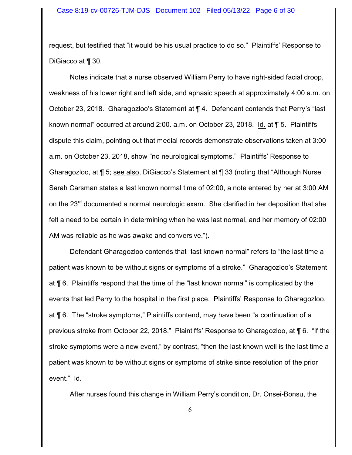request, but testified that "it would be his usual practice to do so." Plaintiffs' Response to DiGiacco at ¶ 30.

Notes indicate that a nurse observed William Perry to have right-sided facial droop, weakness of his lower right and left side, and aphasic speech at approximately 4:00 a.m. on October 23, 2018. Gharagozloo's Statement at ¶ 4. Defendant contends that Perry's "last known normal" occurred at around 2:00. a.m. on October 23, 2018. Id. at ¶ 5. Plaintiffs dispute this claim, pointing out that medial records demonstrate observations taken at 3:00 a.m. on October 23, 2018, show "no neurological symptoms." Plaintiffs' Response to Gharagozloo, at ¶ 5; see also, DiGiacco's Statement at ¶ 33 (noting that "Although Nurse Sarah Carsman states a last known normal time of 02:00, a note entered by her at 3:00 AM on the 23<sup>rd</sup> documented a normal neurologic exam. She clarified in her deposition that she felt a need to be certain in determining when he was last normal, and her memory of 02:00 AM was reliable as he was awake and conversive.").

Defendant Gharagozloo contends that "last known normal" refers to "the last time a patient was known to be without signs or symptoms of a stroke." Gharagozloo's Statement at ¶ 6. Plaintiffs respond that the time of the "last known normal" is complicated by the events that led Perry to the hospital in the first place. Plaintiffs' Response to Gharagozloo, at ¶ 6. The "stroke symptoms," Plaintiffs contend, may have been "a continuation of a previous stroke from October 22, 2018." Plaintiffs' Response to Gharagozloo, at ¶ 6. "if the stroke symptoms were a new event," by contrast, "then the last known well is the last time a patient was known to be without signs or symptoms of strike since resolution of the prior event." Id.

After nurses found this change in William Perry's condition, Dr. Onsei-Bonsu, the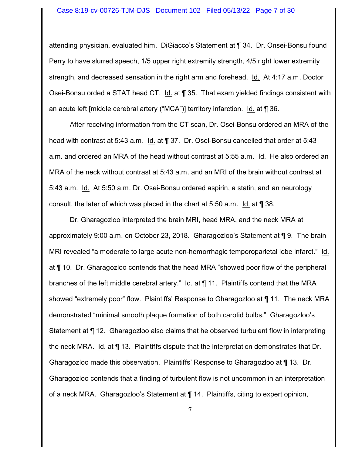#### Case 8:19-cv-00726-TJM-DJS Document 102 Filed 05/13/22 Page 7 of 30

attending physician, evaluated him. DiGiacco's Statement at ¶ 34. Dr. Onsei-Bonsu found Perry to have slurred speech, 1/5 upper right extremity strength, 4/5 right lower extremity strength, and decreased sensation in the right arm and forehead. Id. At 4:17 a.m. Doctor Osei-Bonsu orded a STAT head CT. Id. at ¶ 35. That exam yielded findings consistent with an acute left [middle cerebral artery ("MCA")] territory infarction. Id. at  $\P$  36.

After receiving information from the CT scan, Dr. Osei-Bonsu ordered an MRA of the head with contrast at 5:43 a.m. Id. at  $\P$  37. Dr. Osei-Bonsu cancelled that order at 5:43 a.m. and ordered an MRA of the head without contrast at 5:55 a.m. Id. He also ordered an MRA of the neck without contrast at 5:43 a.m. and an MRI of the brain without contrast at 5:43 a.m. Id. At 5:50 a.m. Dr. Osei-Bonsu ordered aspirin, a statin, and an neurology consult, the later of which was placed in the chart at 5:50 a.m. Id. at ¶ 38.

Dr. Gharagozloo interpreted the brain MRI, head MRA, and the neck MRA at approximately 9:00 a.m. on October 23, 2018. Gharagozloo's Statement at ¶ 9. The brain MRI revealed "a moderate to large acute non-hemorrhagic temporoparietal lobe infarct." Id. at ¶ 10. Dr. Gharagozloo contends that the head MRA "showed poor flow of the peripheral branches of the left middle cerebral artery." Id. at ¶ 11. Plaintiffs contend that the MRA showed "extremely poor" flow. Plaintiffs' Response to Gharagozloo at ¶ 11. The neck MRA demonstrated "minimal smooth plaque formation of both carotid bulbs." Gharagozloo's Statement at ¶ 12. Gharagozloo also claims that he observed turbulent flow in interpreting the neck MRA. Id. at ¶ 13. Plaintiffs dispute that the interpretation demonstrates that Dr. Gharagozloo made this observation. Plaintiffs' Response to Gharagozloo at ¶ 13. Dr. Gharagozloo contends that a finding of turbulent flow is not uncommon in an interpretation of a neck MRA. Gharagozloo's Statement at ¶ 14. Plaintiffs, citing to expert opinion,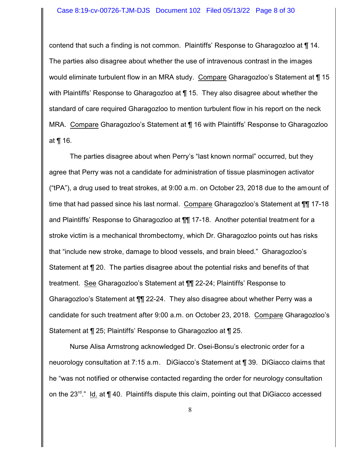#### Case 8:19-cv-00726-TJM-DJS Document 102 Filed 05/13/22 Page 8 of 30

contend that such a finding is not common. Plaintiffs' Response to Gharagozloo at ¶ 14. The parties also disagree about whether the use of intravenous contrast in the images would eliminate turbulent flow in an MRA study. Compare Gharagozloo's Statement at  $\P$  15 with Plaintiffs' Response to Gharagozloo at ¶ 15. They also disagree about whether the standard of care required Gharagozloo to mention turbulent flow in his report on the neck MRA. Compare Gharagozloo's Statement at ¶ 16 with Plaintiffs' Response to Gharagozloo at ¶ 16.

The parties disagree about when Perry's "last known normal" occurred, but they agree that Perry was not a candidate for administration of tissue plasminogen activator ("tPA"), a drug used to treat strokes, at 9:00 a.m. on October 23, 2018 due to the amount of time that had passed since his last normal. Compare Gharagozloo's Statement at  $\P\P$  17-18 and Plaintiffs' Response to Gharagozloo at ¶¶ 17-18. Another potential treatment for a stroke victim is a mechanical thrombectomy, which Dr. Gharagozloo points out has risks that "include new stroke, damage to blood vessels, and brain bleed." Gharagozloo's Statement at ¶ 20. The parties disagree about the potential risks and benefits of that treatment. See Gharagozloo's Statement at ¶¶ 22-24; Plaintiffs' Response to Gharagozloo's Statement at ¶¶ 22-24. They also disagree about whether Perry was a candidate for such treatment after 9:00 a.m. on October 23, 2018. Compare Gharagozloo's Statement at ¶ 25; Plaintiffs' Response to Gharagozloo at ¶ 25.

Nurse Alisa Armstrong acknowledged Dr. Osei-Bonsu's electronic order for a neuorology consultation at 7:15 a.m. DiGiacco's Statement at ¶ 39. DiGiacco claims that he "was not notified or otherwise contacted regarding the order for neurology consultation on the 23<sup>rd</sup>." ld. at ¶ 40. Plaintiffs dispute this claim, pointing out that DiGiacco accessed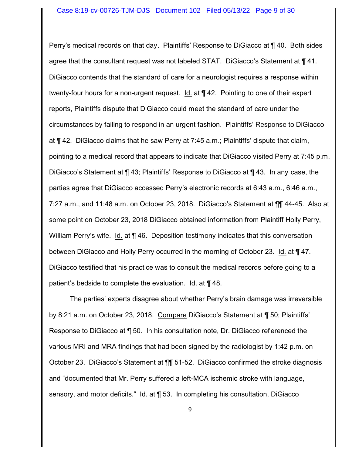Perry's medical records on that day. Plaintiffs' Response to DiGiacco at ¶ 40. Both sides agree that the consultant request was not labeled STAT. DiGiacco's Statement at ¶ 41. DiGiacco contends that the standard of care for a neurologist requires a response within twenty-four hours for a non-urgent request. Id. at ¶ 42. Pointing to one of their expert reports, Plaintiffs dispute that DiGiacco could meet the standard of care under the circumstances by failing to respond in an urgent fashion. Plaintiffs' Response to DiGiacco at ¶ 42. DiGiacco claims that he saw Perry at 7:45 a.m.; Plaintiffs' dispute that claim, pointing to a medical record that appears to indicate that DiGiacco visited Perry at 7:45 p.m. DiGiacco's Statement at ¶ 43; Plaintiffs' Response to DiGiacco at ¶ 43. In any case, the parties agree that DiGiacco accessed Perry's electronic records at 6:43 a.m., 6:46 a.m., 7:27 a.m., and 11:48 a.m. on October 23, 2018. DiGiacco's Statement at ¶¶ 44-45. Also at some point on October 23, 2018 DiGiacco obtained information from Plaintiff Holly Perry, William Perry's wife. Id. at  $\P$  46. Deposition testimony indicates that this conversation between DiGiacco and Holly Perry occurred in the morning of October 23. Id. at ¶ 47. DiGiacco testified that his practice was to consult the medical records before going to a patient's bedside to complete the evaluation. Id. at ¶ 48.

The parties' experts disagree about whether Perry's brain damage was irreversible by 8:21 a.m. on October 23, 2018. Compare DiGiacco's Statement at ¶ 50; Plaintiffs' Response to DiGiacco at ¶ 50. In his consultation note, Dr. DiGiacco referenced the various MRI and MRA findings that had been signed by the radiologist by 1:42 p.m. on October 23. DiGiacco's Statement at ¶¶ 51-52. DiGiacco confirmed the stroke diagnosis and "documented that Mr. Perry suffered a left-MCA ischemic stroke with language, sensory, and motor deficits." Id. at ¶ 53. In completing his consultation, DiGiacco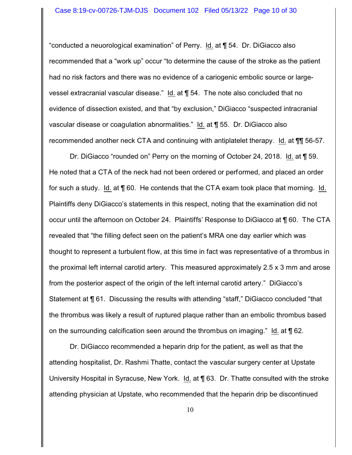"conducted a neuorological examination" of Perry. Id. at ¶ 54. Dr. DiGiacco also recommended that a "work up" occur "to determine the cause of the stroke as the patient had no risk factors and there was no evidence of a cariogenic embolic source or largevessel extracranial vascular disease." Id. at ¶ 54. The note also concluded that no evidence of dissection existed, and that "by exclusion," DiGiacco "suspected intracranial vascular disease or coagulation abnormalities." Id. at ¶ 55. Dr. DiGiacco also recommended another neck CTA and continuing with antiplatelet therapy. Id. at **[11]** 56-57.

Dr. DiGiacco "rounded on" Perry on the morning of October 24, 2018. Id. at ¶ 59. He noted that a CTA of the neck had not been ordered or performed, and placed an order for such a study. Id. at ¶ 60. He contends that the CTA exam took place that morning. Id. Plaintiffs deny DiGiacco's statements in this respect, noting that the examination did not occur until the afternoon on October 24. Plaintiffs' Response to DiGiacco at ¶ 60. The CTA revealed that "the filling defect seen on the patient's MRA one day earlier which was thought to represent a turbulent flow, at this time in fact was representative of a thrombus in the proximal left internal carotid artery. This measured approximately 2.5 x 3 mm and arose from the posterior aspect of the origin of the left internal carotid artery." DiGiacco's Statement at ¶ 61. Discussing the results with attending "staff," DiGiacco concluded "that the thrombus was likely a result of ruptured plaque rather than an embolic thrombus based on the surrounding calcification seen around the thrombus on imaging." Id. at ¶ 62.

Dr. DiGiacco recommended a heparin drip for the patient, as well as that the attending hospitalist, Dr. Rashmi Thatte, contact the vascular surgery center at Upstate University Hospital in Syracuse, New York. Id. at ¶ 63. Dr. Thatte consulted with the stroke attending physician at Upstate, who recommended that the heparin drip be discontinued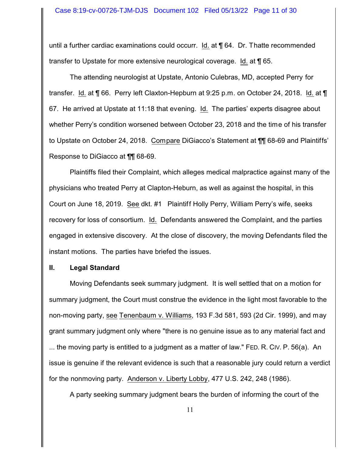until a further cardiac examinations could occurr. Id. at ¶ 64. Dr. Thatte recommended transfer to Upstate for more extensive neurological coverage. Id. at ¶ 65.

The attending neurologist at Upstate, Antonio Culebras, MD, accepted Perry for transfer. Id. at ¶ 66. Perry left Claxton-Hepburn at 9:25 p.m. on October 24, 2018. Id. at ¶ 67. He arrived at Upstate at 11:18 that evening. Id. The parties' experts disagree about whether Perry's condition worsened between October 23, 2018 and the time of his transfer to Upstate on October 24, 2018. Compare DiGiacco's Statement at ¶¶ 68-69 and Plaintiffs' Response to DiGiacco at ¶¶ 68-69.

Plaintiffs filed their Complaint, which alleges medical malpractice against many of the physicians who treated Perry at Clapton-Heburn, as well as against the hospital, in this Court on June 18, 2019. See dkt. #1 Plaintiff Holly Perry, William Perry's wife, seeks recovery for loss of consortium. Id. Defendants answered the Complaint, and the parties engaged in extensive discovery. At the close of discovery, the moving Defendants filed the instant motions. The parties have briefed the issues.

### **II. Legal Standard**

Moving Defendants seek summary judgment. It is well settled that on a motion for summary judgment, the Court must construe the evidence in the light most favorable to the non-moving party, see Tenenbaum v. Williams, 193 F.3d 581, 593 (2d Cir. 1999), and may grant summary judgment only where "there is no genuine issue as to any material fact and ... the moving party is entitled to a judgment as a matter of law." FED. R. CIV. P. 56(a). An issue is genuine if the relevant evidence is such that a reasonable jury could return a verdict for the nonmoving party. Anderson v. Liberty Lobby, 477 U.S. 242, 248 (1986).

A party seeking summary judgment bears the burden of informing the court of the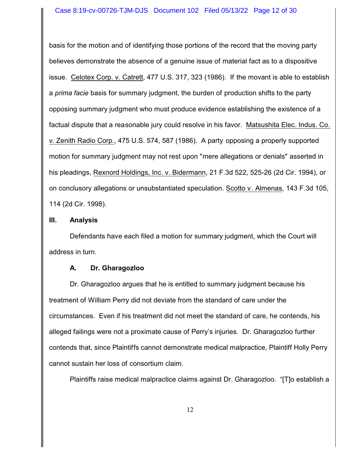basis for the motion and of identifying those portions of the record that the moving party believes demonstrate the absence of a genuine issue of material fact as to a dispositive issue. Celotex Corp. v. Catrett, 477 U.S. 317, 323 (1986). If the movant is able to establish a *prima facie* basis for summary judgment, the burden of production shifts to the party opposing summary judgment who must produce evidence establishing the existence of a factual dispute that a reasonable jury could resolve in his favor. Matsushita Elec. Indus. Co. v. Zenith Radio Corp., 475 U.S. 574, 587 (1986). A party opposing a properly supported motion for summary judgment may not rest upon "mere allegations or denials" asserted in his pleadings, Rexnord Holdings, Inc. v. Bidermann, 21 F.3d 522, 525-26 (2d Cir. 1994), or on conclusory allegations or unsubstantiated speculation. Scotto v. Almenas, 143 F.3d 105, 114 (2d Cir. 1998).

## **III. Analysis**

Defendants have each filed a motion for summary judgment, which the Court will address in turn.

## **A. Dr. Gharagozloo**

Dr. Gharagozloo argues that he is entitled to summary judgment because his treatment of William Perry did not deviate from the standard of care under the circumstances. Even if his treatment did not meet the standard of care, he contends, his alleged failings were not a proximate cause of Perry's injuries. Dr. Gharagozloo further contends that, since Plaintiffs cannot demonstrate medical malpractice, Plaintiff Holly Perry cannot sustain her loss of consortium claim.

Plaintiffs raise medical malpractice claims against Dr. Gharagozloo. "[T]o establish a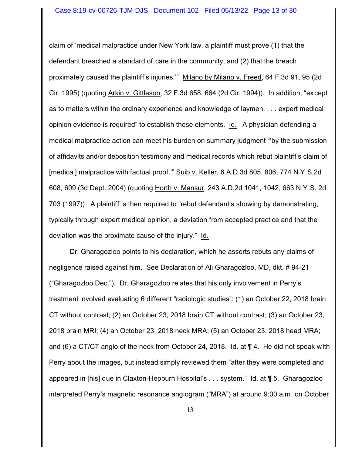claim of 'medical malpractice under New York law, a plaintiff must prove (1) that the defendant breached a standard of care in the community, and (2) that the breach proximately caused the plaintiff's injuries.'" Milano by Milano v. Freed, 64 F.3d 91, 95 (2d Cir. 1995) (quoting Arkin v. Gittleson, 32 F.3d 658, 664 (2d Cir. 1994)). In addition, "except as to matters within the ordinary experience and knowledge of laymen, . . . expert medical opinion evidence is required" to establish these elements. Id. A physician defending a medical malpractice action can meet his burden on summary judgment "'by the submission of affidavits and/or deposition testimony and medical records which rebut plaintiff's claim of [medical] malpractice with factual proof.'" Suib v. Keller, 6 A.D.3d 805, 806, 774 N.Y.S.2d 608, 609 (3d Dept. 2004) (quoting Horth v. Mansur, 243 A.D.2d 1041, 1042, 663 N.Y.S. 2d 703 (1997)). A plaintiff is then required to "rebut defendant's showing by demonstrating, typically through expert medical opinion, a deviation from accepted practice and that the deviation was the proximate cause of the injury." Id.

Dr. Gharagozloo points to his declaration, which he asserts rebuts any claims of negligence raised against him. See Declaration of Ali Gharagozloo, MD, dkt. # 94-21 ("Gharagozloo Dec."). Dr. Gharagozloo relates that his only involvement in Perry's treatment involved evaluating 6 different "radiologic studies": (1) an October 22, 2018 brain CT without contrast; (2) an October 23, 2018 brain CT without contrast; (3) an October 23, 2018 brain MRI; (4) an October 23, 2018 neck MRA; (5) an October 23, 2018 head MRA; and (6) a CT/CT angio of the neck from October 24, 2018. Id. at ¶ 4. He did not speak with Perry about the images, but instead simply reviewed them "after they were completed and appeared in [his] que in Claxton-Hepburn Hospital's . . . system." Id. at ¶ 5. Gharagozloo interpreted Perry's magnetic resonance angiogram ("MRA") at around 9:00 a.m. on October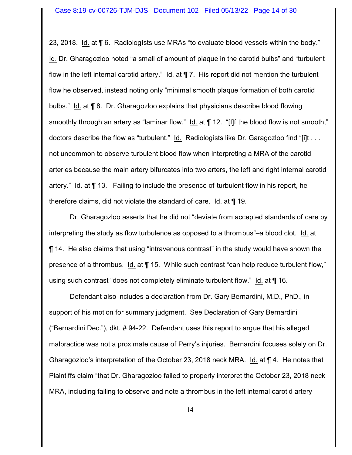23, 2018. Id. at ¶ 6. Radiologists use MRAs "to evaluate blood vessels within the body." Id. Dr. Gharagozloo noted "a small of amount of plaque in the carotid bulbs" and "turbulent flow in the left internal carotid artery." Id. at  $\P$  7. His report did not mention the turbulent flow he observed, instead noting only "minimal smooth plaque formation of both carotid bulbs." Id. at ¶ 8. Dr. Gharagozloo explains that physicians describe blood flowing smoothly through an artery as "laminar flow." Id. at  $\P$  12. "[I]f the blood flow is not smooth," doctors describe the flow as "turbulent." Id. Radiologists like Dr. Garagozloo find "[i]t . . . not uncommon to observe turbulent blood flow when interpreting a MRA of the carotid arteries because the main artery bifurcates into two arters, the left and right internal carotid artery." Id. at ¶ 13. Failing to include the presence of turbulent flow in his report, he therefore claims, did not violate the standard of care. Id. at ¶ 19.

Dr. Gharagozloo asserts that he did not "deviate from accepted standards of care by interpreting the study as flow turbulence as opposed to a thrombus"–a blood clot. Id. at ¶ 14. He also claims that using "intravenous contrast" in the study would have shown the presence of a thrombus. Id. at ¶ 15. While such contrast "can help reduce turbulent flow," using such contrast "does not completely eliminate turbulent flow." Id. at ¶ 16.

Defendant also includes a declaration from Dr. Gary Bernardini, M.D., PhD., in support of his motion for summary judgment. See Declaration of Gary Bernardini ("Bernardini Dec."), dkt. # 94-22. Defendant uses this report to argue that his alleged malpractice was not a proximate cause of Perry's injuries. Bernardini focuses solely on Dr. Gharagozloo's interpretation of the October 23, 2018 neck MRA. Id. at ¶ 4. He notes that Plaintiffs claim "that Dr. Gharagozloo failed to properly interpret the October 23, 2018 neck MRA, including failing to observe and note a thrombus in the left internal carotid artery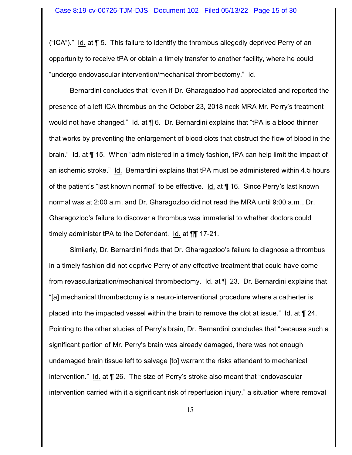("ICA")." Id. at  $\P$  5. This failure to identify the thrombus allegedly deprived Perry of an opportunity to receive tPA or obtain a timely transfer to another facility, where he could "undergo endovascular intervention/mechanical thrombectomy." Id.

Bernardini concludes that "even if Dr. Gharagozloo had appreciated and reported the presence of a left ICA thrombus on the October 23, 2018 neck MRA Mr. Perry's treatment would not have changed." Id. at ¶ 6. Dr. Bernardini explains that "tPA is a blood thinner that works by preventing the enlargement of blood clots that obstruct the flow of blood in the brain." Id. at ¶ 15. When "administered in a timely fashion, tPA can help limit the impact of an ischemic stroke." Id. Bernardini explains that tPA must be administered within 4.5 hours of the patient's "last known normal" to be effective. Id. at ¶ 16. Since Perry's last known normal was at 2:00 a.m. and Dr. Gharagozloo did not read the MRA until 9:00 a.m., Dr. Gharagozloo's failure to discover a thrombus was immaterial to whether doctors could timely administer tPA to the Defendant. Id. at ¶¶ 17-21.

Similarly, Dr. Bernardini finds that Dr. Gharagozloo's failure to diagnose a thrombus in a timely fashion did not deprive Perry of any effective treatment that could have come from revascularization/mechanical thrombectomy. Id. at ¶ 23. Dr. Bernardini explains that "[a] mechanical thrombectomy is a neuro-interventional procedure where a catherter is placed into the impacted vessel within the brain to remove the clot at issue." Id. at ¶ 24. Pointing to the other studies of Perry's brain, Dr. Bernardini concludes that "because such a significant portion of Mr. Perry's brain was already damaged, there was not enough undamaged brain tissue left to salvage [to] warrant the risks attendant to mechanical intervention." Id. at ¶ 26. The size of Perry's stroke also meant that "endovascular intervention carried with it a significant risk of reperfusion injury," a situation where removal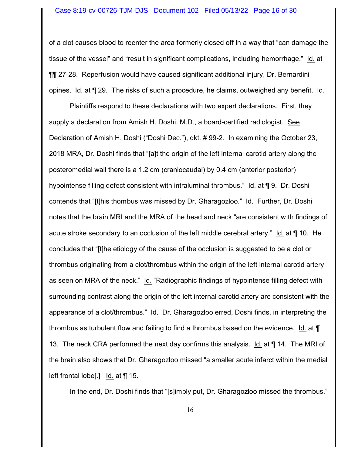of a clot causes blood to reenter the area formerly closed off in a way that "can damage the tissue of the vessel" and "result in significant complications, including hemorrhage." Id. at ¶¶ 27-28. Reperfusion would have caused significant additional injury, Dr. Bernardini opines. Id. at ¶ 29. The risks of such a procedure, he claims, outweighed any benefit. Id.

Plaintiffs respond to these declarations with two expert declarations. First, they supply a declaration from Amish H. Doshi, M.D., a board-certified radiologist. See Declaration of Amish H. Doshi ("Doshi Dec."), dkt. # 99-2. In examining the October 23, 2018 MRA, Dr. Doshi finds that "[a]t the origin of the left internal carotid artery along the posteromedial wall there is a 1.2 cm (craniocaudal) by 0.4 cm (anterior posterior) hypointense filling defect consistent with intraluminal thrombus." Id. at ¶ 9. Dr. Doshi contends that "[t]his thombus was missed by Dr. Gharagozloo." Id. Further, Dr. Doshi notes that the brain MRI and the MRA of the head and neck "are consistent with findings of acute stroke secondary to an occlusion of the left middle cerebral artery." Id. at ¶ 10. He concludes that "[t]he etiology of the cause of the occlusion is suggested to be a clot or thrombus originating from a clot/thrombus within the origin of the left internal carotid artery as seen on MRA of the neck." Id. "Radiographic findings of hypointense filling defect with surrounding contrast along the origin of the left internal carotid artery are consistent with the appearance of a clot/thrombus." Id. Dr. Gharagozloo erred, Doshi finds, in interpreting the thrombus as turbulent flow and failing to find a thrombus based on the evidence. Id. at ¶ 13. The neck CRA performed the next day confirms this analysis. Id. at ¶ 14. The MRI of the brain also shows that Dr. Gharagozloo missed "a smaller acute infarct within the medial left frontal lobe[.] Id. at ¶ 15.

In the end, Dr. Doshi finds that "[s]imply put, Dr. Gharagozloo missed the thrombus."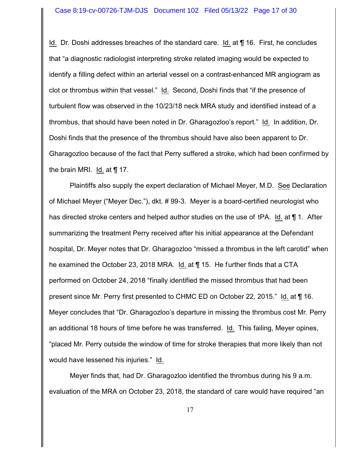Id. Dr. Doshi addresses breaches of the standard care. Id. at ¶ 16. First, he concludes that "a diagnostic radiologist interpreting stroke related imaging would be expected to identify a filling defect within an arterial vessel on a contrast-enhanced MR angiogram as clot or thrombus within that vessel." Id. Second, Doshi finds that "if the presence of turbulent flow was observed in the 10/23/18 neck MRA study and identified instead of a thrombus, that should have been noted in Dr. Gharagozloo's report." Id. In addition, Dr. Doshi finds that the presence of the thrombus should have also been apparent to Dr. Gharagozloo because of the fact that Perry suffered a stroke, which had been confirmed by the brain MRI. Id. at ¶ 17.

Plaintiffs also supply the expert declaration of Michael Meyer, M.D. See Declaration of Michael Meyer ("Meyer Dec."), dkt. # 99-3. Meyer is a board-certified neurologist who has directed stroke centers and helped author studies on the use of tPA. Id. at  $\P$  1. After summarizing the treatment Perry received after his initial appearance at the Defendant hospital, Dr. Meyer notes that Dr. Gharagozloo "missed a thrombus in the left carotid" when he examined the October 23, 2018 MRA. Id. at ¶ 15. He further finds that a CTA performed on October 24, 2018 "finally identified the missed thrombus that had been present since Mr. Perry first presented to CHMC ED on October 22, 2015." Id. at ¶ 16. Meyer concludes that "Dr. Gharagozloo's departure in missing the thrombus cost Mr. Perry an additional 18 hours of time before he was transferred. Id. This failing, Meyer opines, "placed Mr. Perry outside the window of time for stroke therapies that more likely than not would have lessened his injuries." Id.

Meyer finds that, had Dr. Gharagozloo identified the thrombus during his 9 a.m. evaluation of the MRA on October 23, 2018, the standard of care would have required "an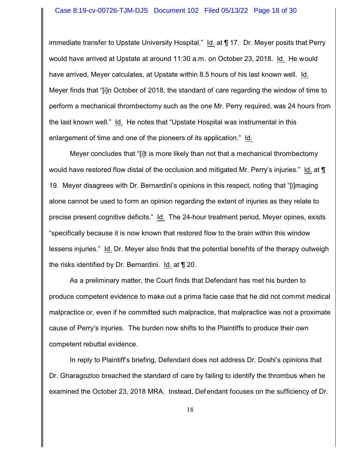#### Case 8:19-cv-00726-TJM-DJS Document 102 Filed 05/13/22 Page 18 of 30

immediate transfer to Upstate University Hospital." Id. at ¶ 17. Dr. Meyer posits that Perry would have arrived at Upstate at around 11:30 a.m. on October 23, 2018. Id. He would have arrived, Meyer calculates, at Upstate within 8.5 hours of his last known well. Id. Meyer finds that "[i]n October of 2018, the standard of care regarding the window of time to perform a mechanical thrombectomy such as the one Mr. Perry required, was 24 hours from the last known well." Id. He notes that "Upstate Hospital was instrumental in this enlargement of time and one of the pioneers of its application." Id.

Meyer concludes that "[i]t is more likely than not that a mechanical thrombectomy would have restored flow distal of the occlusion and mitigated Mr. Perry's injuries." Id. at  $\P$ 19. Meyer disagrees with Dr. Bernardini's opinions in this respect, noting that "[i]maging alone cannot be used to form an opinion regarding the extent of injuries as they relate to precise present cognitive deficits." Id. The 24-hour treatment period, Meyer opines, exists "specifically because it is now known that restored flow to the brain within this window lessens injuries." Id. Dr. Meyer also finds that the potential benefits of the therapy outweigh the risks identified by Dr. Bernardini. Id. at ¶ 20.

As a preliminary matter, the Court finds that Defendant has met his burden to produce competent evidence to make out a prima facie case that he did not commit medical malpractice or, even if he committed such malpractice, that malpractice was not a proximate cause of Perry's injuries. The burden now shifts to the Plaintiffs to produce their own competent rebuttal evidence.

In reply to Plaintiff's briefing, Defendant does not address Dr. Doshi's opinions that Dr. Gharagozloo breached the standard of care by failing to identify the thrombus when he examined the October 23, 2018 MRA. Instead, Defendant focuses on the sufficiency of Dr.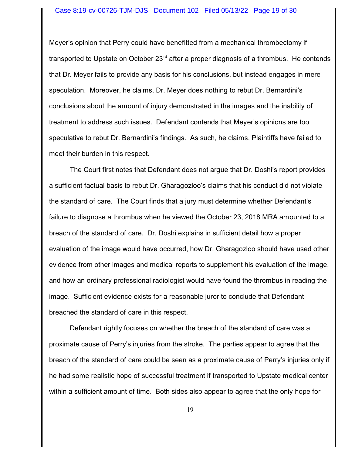#### Case 8:19-cv-00726-TJM-DJS Document 102 Filed 05/13/22 Page 19 of 30

Meyer's opinion that Perry could have benefitted from a mechanical thrombectomy if transported to Upstate on October 23<sup>rd</sup> after a proper diagnosis of a thrombus. He contends that Dr. Meyer fails to provide any basis for his conclusions, but instead engages in mere speculation. Moreover, he claims, Dr. Meyer does nothing to rebut Dr. Bernardini's conclusions about the amount of injury demonstrated in the images and the inability of treatment to address such issues. Defendant contends that Meyer's opinions are too speculative to rebut Dr. Bernardini's findings. As such, he claims, Plaintiffs have failed to meet their burden in this respect.

The Court first notes that Defendant does not argue that Dr. Doshi's report provides a sufficient factual basis to rebut Dr. Gharagozloo's claims that his conduct did not violate the standard of care. The Court finds that a jury must determine whether Defendant's failure to diagnose a thrombus when he viewed the October 23, 2018 MRA amounted to a breach of the standard of care. Dr. Doshi explains in sufficient detail how a proper evaluation of the image would have occurred, how Dr. Gharagozloo should have used other evidence from other images and medical reports to supplement his evaluation of the image, and how an ordinary professional radiologist would have found the thrombus in reading the image. Sufficient evidence exists for a reasonable juror to conclude that Defendant breached the standard of care in this respect.

Defendant rightly focuses on whether the breach of the standard of care was a proximate cause of Perry's injuries from the stroke. The parties appear to agree that the breach of the standard of care could be seen as a proximate cause of Perry's injuries only if he had some realistic hope of successful treatment if transported to Upstate medical center within a sufficient amount of time. Both sides also appear to agree that the only hope for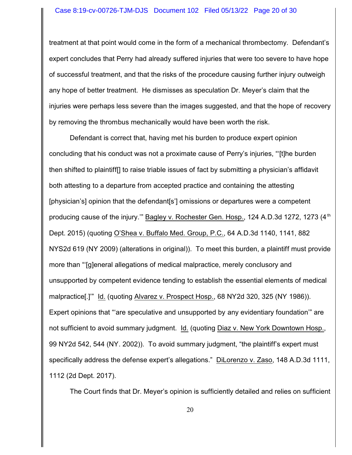#### Case 8:19-cv-00726-TJM-DJS Document 102 Filed 05/13/22 Page 20 of 30

treatment at that point would come in the form of a mechanical thrombectomy. Defendant's expert concludes that Perry had already suffered injuries that were too severe to have hope of successful treatment, and that the risks of the procedure causing further injury outweigh any hope of better treatment. He dismisses as speculation Dr. Meyer's claim that the injuries were perhaps less severe than the images suggested, and that the hope of recovery by removing the thrombus mechanically would have been worth the risk.

Defendant is correct that, having met his burden to produce expert opinion concluding that his conduct was not a proximate cause of Perry's injuries, "'[t]he burden then shifted to plaintiff[] to raise triable issues of fact by submitting a physician's affidavit both attesting to a departure from accepted practice and containing the attesting [physician's] opinion that the defendant[s'] omissions or departures were a competent producing cause of the injury."" Bagley v. Rochester Gen. Hosp., 124 A.D.3d 1272, 1273 (4<sup>th</sup> Dept. 2015) (quoting O'Shea v. Buffalo Med. Group, P.C., 64 A.D.3d 1140, 1141, 882 NYS2d 619 (NY 2009) (alterations in original)). To meet this burden, a plaintiff must provide more than "'[g]eneral allegations of medical malpractice, merely conclusory and unsupported by competent evidence tending to establish the essential elements of medical malpractice[.]'" Id. (quoting Alvarez v. Prospect Hosp., 68 NY2d 320, 325 (NY 1986)). Expert opinions that "'are speculative and unsupported by any evidentiary foundation'" are not sufficient to avoid summary judgment. Id. (quoting Diaz v. New York Downtown Hosp., 99 NY2d 542, 544 (NY. 2002)). To avoid summary judgment, "the plaintiff's expert must specifically address the defense expert's allegations." DiLorenzo v. Zaso, 148 A.D.3d 1111, 1112 (2d Dept. 2017).

The Court finds that Dr. Meyer's opinion is sufficiently detailed and relies on sufficient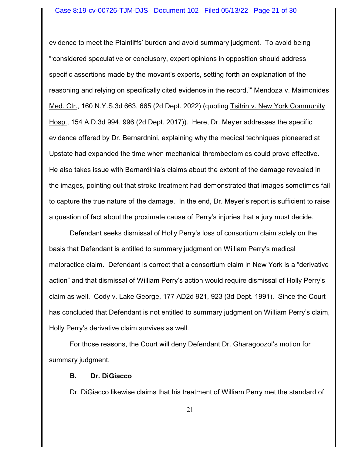evidence to meet the Plaintiffs' burden and avoid summary judgment. To avoid being "'considered speculative or conclusory, expert opinions in opposition should address specific assertions made by the movant's experts, setting forth an explanation of the reasoning and relying on specifically cited evidence in the record.'" Mendoza v. Maimonides Med. Ctr., 160 N.Y.S.3d 663, 665 (2d Dept. 2022) (quoting Tsitrin v. New York Community Hosp., 154 A.D.3d 994, 996 (2d Dept. 2017)). Here, Dr. Meyer addresses the specific evidence offered by Dr. Bernardnini, explaining why the medical techniques pioneered at Upstate had expanded the time when mechanical thrombectomies could prove effective. He also takes issue with Bernardinia's claims about the extent of the damage revealed in the images, pointing out that stroke treatment had demonstrated that images sometimes fail to capture the true nature of the damage. In the end, Dr. Meyer's report is sufficient to raise a question of fact about the proximate cause of Perry's injuries that a jury must decide.

Defendant seeks dismissal of Holly Perry's loss of consortium claim solely on the basis that Defendant is entitled to summary judgment on William Perry's medical malpractice claim. Defendant is correct that a consortium claim in New York is a "derivative action" and that dismissal of William Perry's action would require dismissal of Holly Perry's claim as well. Cody v. Lake George, 177 AD2d 921, 923 (3d Dept. 1991). Since the Court has concluded that Defendant is not entitled to summary judgment on William Perry's claim, Holly Perry's derivative claim survives as well.

For those reasons, the Court will deny Defendant Dr. Gharagoozol's motion for summary judgment.

### **B. Dr. DiGiacco**

Dr. DiGiacco likewise claims that his treatment of William Perry met the standard of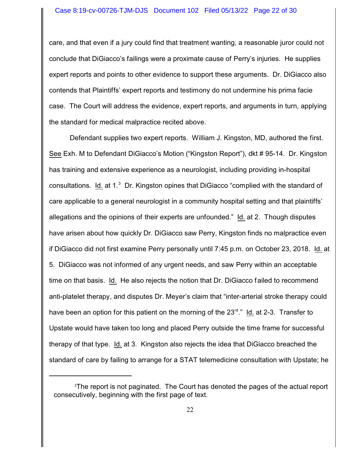care, and that even if a jury could find that treatment wanting, a reasonable juror could not conclude that DiGiacco's failings were a proximate cause of Perry's injuries. He supplies expert reports and points to other evidence to support these arguments. Dr. DiGiacco also contends that Plaintiffs' expert reports and testimony do not undermine his prima facie case. The Court will address the evidence, expert reports, and arguments in turn, applying the standard for medical malpractice recited above.

Defendant supplies two expert reports. William J. Kingston, MD, authored the first. See Exh. M to Defendant DiGiacco's Motion ("Kingston Report"), dkt # 95-14. Dr. Kingston has training and extensive experience as a neurologist, including providing in-hospital consultations. Id. at 1.<sup>3</sup> Dr. Kingston opines that DiGiacco "complied with the standard of care applicable to a general neurologist in a community hospital setting and that plaintiffs' allegations and the opinions of their experts are unfounded." Id. at 2. Though disputes have arisen about how quickly Dr. DiGiacco saw Perry, Kingston finds no malpractice even if DiGiacco did not first examine Perry personally until 7:45 p.m. on October 23, 2018. Id. at 5. DiGiacco was not informed of any urgent needs, and saw Perry within an acceptable time on that basis. Id. He also rejects the notion that Dr. DiGiacco failed to recommend anti-platelet therapy, and disputes Dr. Meyer's claim that "inter-arterial stroke therapy could have been an option for this patient on the morning of the 23<sup>rd</sup>." Id. at 2-3. Transfer to Upstate would have taken too long and placed Perry outside the time frame for successful therapy of that type. Id. at 3. Kingston also rejects the idea that DiGiacco breached the standard of care by failing to arrange for a STAT telemedicine consultation with Upstate; he

<sup>&</sup>lt;sup>3</sup>The report is not paginated. The Court has denoted the pages of the actual report consecutively, beginning with the first page of text.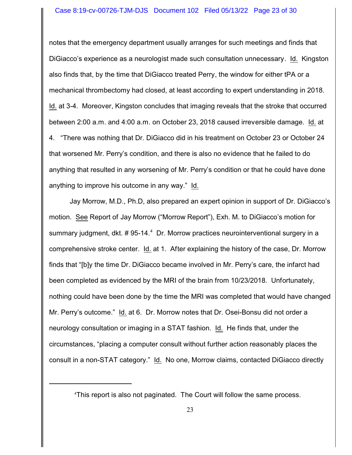#### Case 8:19-cv-00726-TJM-DJS Document 102 Filed 05/13/22 Page 23 of 30

notes that the emergency department usually arranges for such meetings and finds that DiGiacco's experience as a neurologist made such consultation unnecessary. Id. Kingston also finds that, by the time that DiGiacco treated Perry, the window for either tPA or a mechanical thrombectomy had closed, at least according to expert understanding in 2018. Id. at 3-4. Moreover, Kingston concludes that imaging reveals that the stroke that occurred between 2:00 a.m. and 4:00 a.m. on October 23, 2018 caused irreversible damage. Id. at 4. "There was nothing that Dr. DiGiacco did in his treatment on October 23 or October 24 that worsened Mr. Perry's condition, and there is also no evidence that he failed to do anything that resulted in any worsening of Mr. Perry's condition or that he could have done anything to improve his outcome in any way." Id.

Jay Morrow, M.D., Ph.D, also prepared an expert opinion in support of Dr. DiGiacco's motion. See Report of Jay Morrow ("Morrow Report"), Exh. M. to DiGiacco's motion for summary judgment, dkt. # 95-14.<sup>4</sup> Dr. Morrow practices neurointerventional surgery in a comprehensive stroke center. Id. at 1. After explaining the history of the case, Dr. Morrow finds that "[b]y the time Dr. DiGiacco became involved in Mr. Perry's care, the infarct had been completed as evidenced by the MRI of the brain from 10/23/2018. Unfortunately, nothing could have been done by the time the MRI was completed that would have changed Mr. Perry's outcome." Id. at 6. Dr. Morrow notes that Dr. Osei-Bonsu did not order a neurology consultation or imaging in a STAT fashion. Id. He finds that, under the circumstances, "placing a computer consult without further action reasonably places the consult in a non-STAT category." Id. No one, Morrow claims, contacted DiGiacco directly

<sup>4</sup>This report is also not paginated. The Court will follow the same process.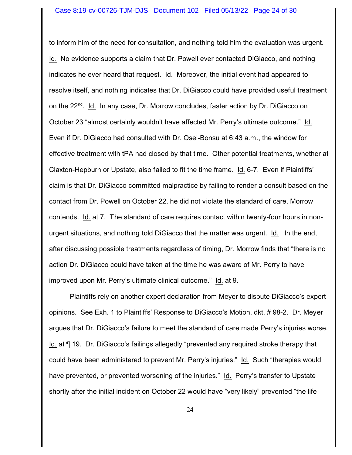to inform him of the need for consultation, and nothing told him the evaluation was urgent. Id. No evidence supports a claim that Dr. Powell ever contacted DiGiacco, and nothing indicates he ever heard that request. Id. Moreover, the initial event had appeared to resolve itself, and nothing indicates that Dr. DiGiacco could have provided useful treatment on the 22<sup>nd</sup>. Id. In any case, Dr. Morrow concludes, faster action by Dr. DiGiacco on October 23 "almost certainly wouldn't have affected Mr. Perry's ultimate outcome." Id. Even if Dr. DiGiacco had consulted with Dr. Osei-Bonsu at 6:43 a.m., the window for effective treatment with tPA had closed by that time. Other potential treatments, whether at Claxton-Hepburn or Upstate, also failed to fit the time frame. Id. 6-7. Even if Plaintiffs' claim is that Dr. DiGiacco committed malpractice by failing to render a consult based on the contact from Dr. Powell on October 22, he did not violate the standard of care, Morrow contends. Id. at 7. The standard of care requires contact within twenty-four hours in nonurgent situations, and nothing told DiGiacco that the matter was urgent. Id. In the end, after discussing possible treatments regardless of timing, Dr. Morrow finds that "there is no action Dr. DiGiacco could have taken at the time he was aware of Mr. Perry to have improved upon Mr. Perry's ultimate clinical outcome." Id. at 9.

Plaintiffs rely on another expert declaration from Meyer to dispute DiGiacco's expert opinions. See Exh. 1 to Plaintiffs' Response to DiGiacco's Motion, dkt. # 98-2. Dr. Meyer argues that Dr. DiGiacco's failure to meet the standard of care made Perry's injuries worse. Id. at ¶ 19. Dr. DiGiacco's failings allegedly "prevented any required stroke therapy that could have been administered to prevent Mr. Perry's injuries." Id. Such "therapies would have prevented, or prevented worsening of the injuries." Id. Perry's transfer to Upstate shortly after the initial incident on October 22 would have "very likely" prevented "the life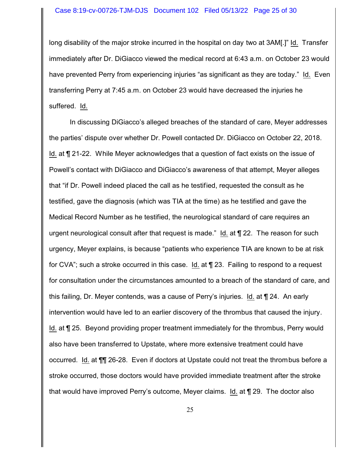long disability of the major stroke incurred in the hospital on day two at 3AM[.]" Id. Transfer immediately after Dr. DiGiacco viewed the medical record at 6:43 a.m. on October 23 would have prevented Perry from experiencing injuries "as significant as they are today." Id. Even transferring Perry at 7:45 a.m. on October 23 would have decreased the injuries he suffered. Id.

In discussing DiGiacco's alleged breaches of the standard of care, Meyer addresses the parties' dispute over whether Dr. Powell contacted Dr. DiGiacco on October 22, 2018. Id. at ¶ 21-22. While Meyer acknowledges that a question of fact exists on the issue of Powell's contact with DiGiacco and DiGiacco's awareness of that attempt, Meyer alleges that "if Dr. Powell indeed placed the call as he testified, requested the consult as he testified, gave the diagnosis (which was TIA at the time) as he testified and gave the Medical Record Number as he testified, the neurological standard of care requires an urgent neurological consult after that request is made." Id. at ¶ 22. The reason for such urgency, Meyer explains, is because "patients who experience TIA are known to be at risk for CVA"; such a stroke occurred in this case. Id. at ¶ 23. Failing to respond to a request for consultation under the circumstances amounted to a breach of the standard of care, and this failing, Dr. Meyer contends, was a cause of Perry's injuries. Id. at ¶ 24. An early intervention would have led to an earlier discovery of the thrombus that caused the injury. Id. at ¶ 25. Beyond providing proper treatment immediately for the thrombus, Perry would also have been transferred to Upstate, where more extensive treatment could have occurred. Id. at ¶¶ 26-28. Even if doctors at Upstate could not treat the thrombus before a stroke occurred, those doctors would have provided immediate treatment after the stroke that would have improved Perry's outcome, Meyer claims. Id. at ¶ 29. The doctor also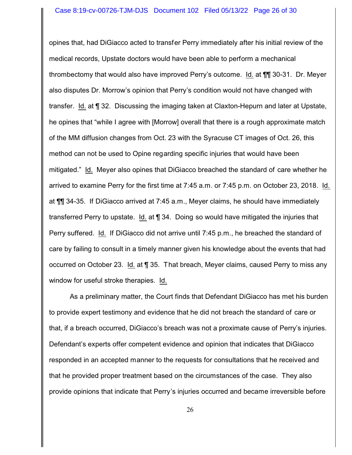opines that, had DiGiacco acted to transfer Perry immediately after his initial review of the medical records, Upstate doctors would have been able to perform a mechanical thrombectomy that would also have improved Perry's outcome. Id. at ¶¶ 30-31. Dr. Meyer also disputes Dr. Morrow's opinion that Perry's condition would not have changed with transfer. Id. at ¶ 32. Discussing the imaging taken at Claxton-Hepurn and later at Upstate, he opines that "while I agree with [Morrow] overall that there is a rough approximate match of the MM diffusion changes from Oct. 23 with the Syracuse CT images of Oct. 26, this method can not be used to Opine regarding specific injuries that would have been mitigated." Id. Meyer also opines that DiGiacco breached the standard of care whether he arrived to examine Perry for the first time at 7:45 a.m. or 7:45 p.m. on October 23, 2018. Id. at ¶¶ 34-35. If DiGiacco arrived at 7:45 a.m., Meyer claims, he should have immediately transferred Perry to upstate. Id. at ¶ 34. Doing so would have mitigated the injuries that Perry suffered. Id. If DiGiacco did not arrive until 7:45 p.m., he breached the standard of care by failing to consult in a timely manner given his knowledge about the events that had occurred on October 23. Id. at ¶ 35. That breach, Meyer claims, caused Perry to miss any window for useful stroke therapies. Id.

As a preliminary matter, the Court finds that Defendant DiGiacco has met his burden to provide expert testimony and evidence that he did not breach the standard of care or that, if a breach occurred, DiGiacco's breach was not a proximate cause of Perry's injuries. Defendant's experts offer competent evidence and opinion that indicates that DiGiacco responded in an accepted manner to the requests for consultations that he received and that he provided proper treatment based on the circumstances of the case. They also provide opinions that indicate that Perry's injuries occurred and became irreversible before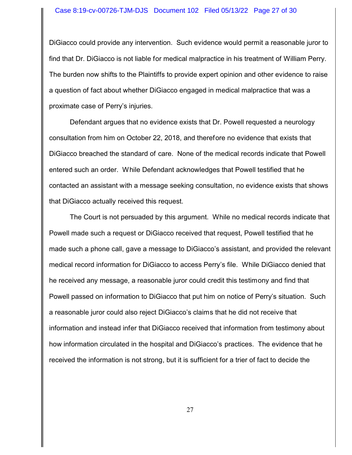#### Case 8:19-cv-00726-TJM-DJS Document 102 Filed 05/13/22 Page 27 of 30

DiGiacco could provide any intervention. Such evidence would permit a reasonable juror to find that Dr. DiGiacco is not liable for medical malpractice in his treatment of William Perry. The burden now shifts to the Plaintiffs to provide expert opinion and other evidence to raise a question of fact about whether DiGiacco engaged in medical malpractice that was a proximate case of Perry's injuries.

Defendant argues that no evidence exists that Dr. Powell requested a neurology consultation from him on October 22, 2018, and therefore no evidence that exists that DiGiacco breached the standard of care. None of the medical records indicate that Powell entered such an order. While Defendant acknowledges that Powell testified that he contacted an assistant with a message seeking consultation, no evidence exists that shows that DiGiacco actually received this request.

The Court is not persuaded by this argument. While no medical records indicate that Powell made such a request or DiGiacco received that request, Powell testified that he made such a phone call, gave a message to DiGiacco's assistant, and provided the relevant medical record information for DiGiacco to access Perry's file. While DiGiacco denied that he received any message, a reasonable juror could credit this testimony and find that Powell passed on information to DiGiacco that put him on notice of Perry's situation. Such a reasonable juror could also reject DiGiacco's claims that he did not receive that information and instead infer that DiGiacco received that information from testimony about how information circulated in the hospital and DiGiacco's practices. The evidence that he received the information is not strong, but it is sufficient for a trier of fact to decide the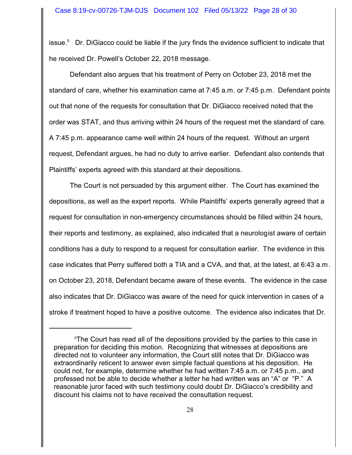issue.<sup>5</sup> Dr. DiGiacco could be liable if the jury finds the evidence sufficient to indicate that he received Dr. Powell's October 22, 2018 message.

Defendant also argues that his treatment of Perry on October 23, 2018 met the standard of care, whether his examination came at 7:45 a.m. or 7:45 p.m. Defendant points out that none of the requests for consultation that Dr. DiGiacco received noted that the order was STAT, and thus arriving within 24 hours of the request met the standard of care. A 7:45 p.m. appearance came well within 24 hours of the request. Without an urgent request, Defendant argues, he had no duty to arrive earlier. Defendant also contends that Plaintiffs' experts agreed with this standard at their depositions.

The Court is not persuaded by this argument either. The Court has examined the depositions, as well as the expert reports. While Plaintiffs' experts generally agreed that a request for consultation in non-emergency circumstances should be filled within 24 hours, their reports and testimony, as explained, also indicated that a neurologist aware of certain conditions has a duty to respond to a request for consultation earlier. The evidence in this case indicates that Perry suffered both a TIA and a CVA, and that, at the latest, at 6:43 a.m. on October 23, 2018, Defendant became aware of these events. The evidence in the case also indicates that Dr. DiGiacco was aware of the need for quick intervention in cases of a stroke if treatment hoped to have a positive outcome. The evidence also indicates that Dr.

<sup>&</sup>lt;sup>5</sup>The Court has read all of the depositions provided by the parties to this case in preparation for deciding this motion. Recognizing that witnesses at depositions are directed not to volunteer any information, the Court still notes that Dr. DiGiacco was extraordinarily reticent to answer even simple factual questions at his deposition. He could not, for example, determine whether he had written 7:45 a.m. or 7:45 p.m., and professed not be able to decide whether a letter he had written was an "A" or "P." A reasonable juror faced with such testimony could doubt Dr. DiGiacco's credibility and discount his claims not to have received the consultation request.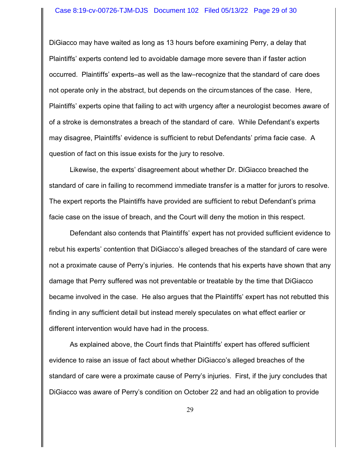#### Case 8:19-cv-00726-TJM-DJS Document 102 Filed 05/13/22 Page 29 of 30

DiGiacco may have waited as long as 13 hours before examining Perry, a delay that Plaintiffs' experts contend led to avoidable damage more severe than if faster action occurred. Plaintiffs' experts–as well as the law–recognize that the standard of care does not operate only in the abstract, but depends on the circumstances of the case. Here, Plaintiffs' experts opine that failing to act with urgency after a neurologist becomes aware of of a stroke is demonstrates a breach of the standard of care. While Defendant's experts may disagree, Plaintiffs' evidence is sufficient to rebut Defendants' prima facie case. A question of fact on this issue exists for the jury to resolve.

Likewise, the experts' disagreement about whether Dr. DiGiacco breached the standard of care in failing to recommend immediate transfer is a matter for jurors to resolve. The expert reports the Plaintiffs have provided are sufficient to rebut Defendant's prima facie case on the issue of breach, and the Court will deny the motion in this respect.

Defendant also contends that Plaintiffs' expert has not provided sufficient evidence to rebut his experts' contention that DiGiacco's alleged breaches of the standard of care were not a proximate cause of Perry's injuries. He contends that his experts have shown that any damage that Perry suffered was not preventable or treatable by the time that DiGiacco became involved in the case. He also argues that the Plaintiffs' expert has not rebutted this finding in any sufficient detail but instead merely speculates on what effect earlier or different intervention would have had in the process.

As explained above, the Court finds that Plaintiffs' expert has offered sufficient evidence to raise an issue of fact about whether DiGiacco's alleged breaches of the standard of care were a proximate cause of Perry's injuries. First, if the jury concludes that DiGiacco was aware of Perry's condition on October 22 and had an obligation to provide